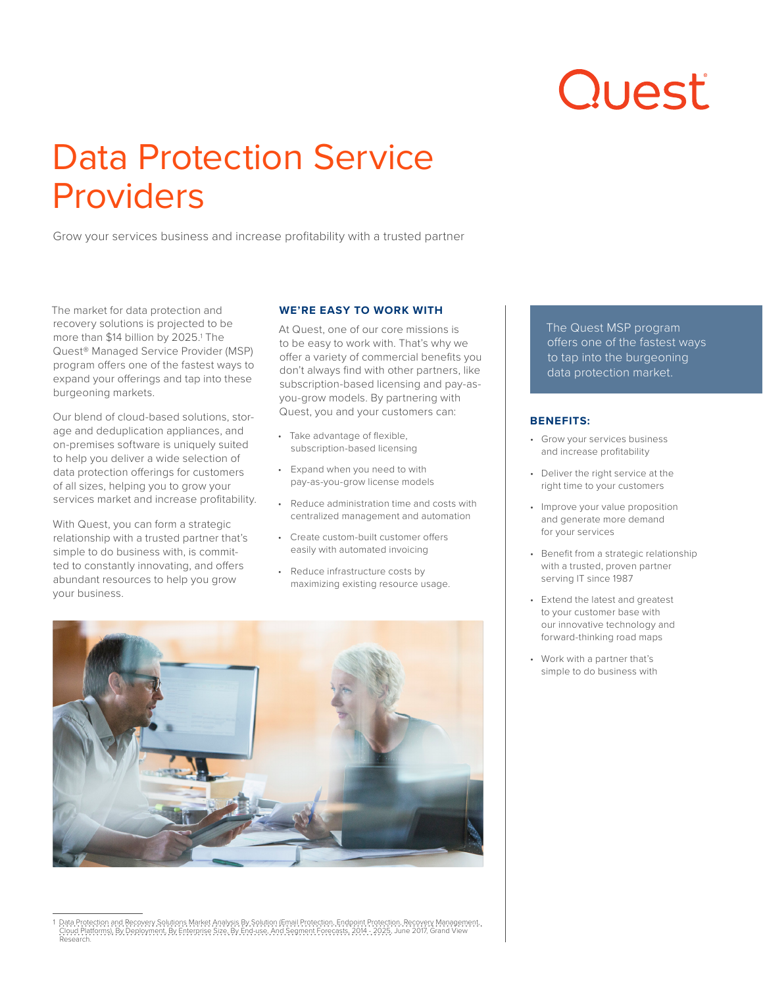# Quest

# Data Protection Service Providers

Grow your services business and increase profitability with a trusted partner

The market for data protection and recovery solutions is projected to be more than \$14 billion by 2025.1 The Quest® Managed Service Provider (MSP) program offers one of the fastest ways to expand your offerings and tap into these burgeoning markets.

Our blend of cloud-based solutions, storage and deduplication appliances, and on-premises software is uniquely suited to help you deliver a wide selection of data protection offerings for customers of all sizes, helping you to grow your services market and increase profitability.

With Quest, you can form a strategic relationship with a trusted partner that's simple to do business with, is committed to constantly innovating, and offers abundant resources to help you grow your business.

# **WE'RE EASY TO WORK WITH**

At Quest, one of our core missions is to be easy to work with. That's why we offer a variety of commercial benefits you don't always find with other partners, like subscription-based licensing and pay-asyou-grow models. By partnering with Quest, you and your customers can:

- Take advantage of flexible, subscription-based licensing
- Expand when you need to with pay-as-you-grow license models
- Reduce administration time and costs with centralized management and automation
- Create custom-built customer offers easily with automated invoicing
- Reduce infrastructure costs by maximizing existing resource usage.



1 Data Protection and Recovery Solutions Market Analysis By Solution (Email Protection, Endpoint Protection, Recovery Management,<br>- Cloud Platforms), By Deployment, By Enterprise Size, By End-use, And Segment Forecasts, 20

The Quest MSP program offers one of the fastest ways to tap into the burgeoning data protection market.

# **BENEFITS:**

- Grow your services business and increase profitability
- Deliver the right service at the right time to your customers
- Improve your value proposition and generate more demand for your services
- Benefit from a strategic relationship with a trusted, proven partner serving IT since 1987
- Extend the latest and greatest to your customer base with our innovative technology and forward-thinking road maps
- Work with a partner that's simple to do business with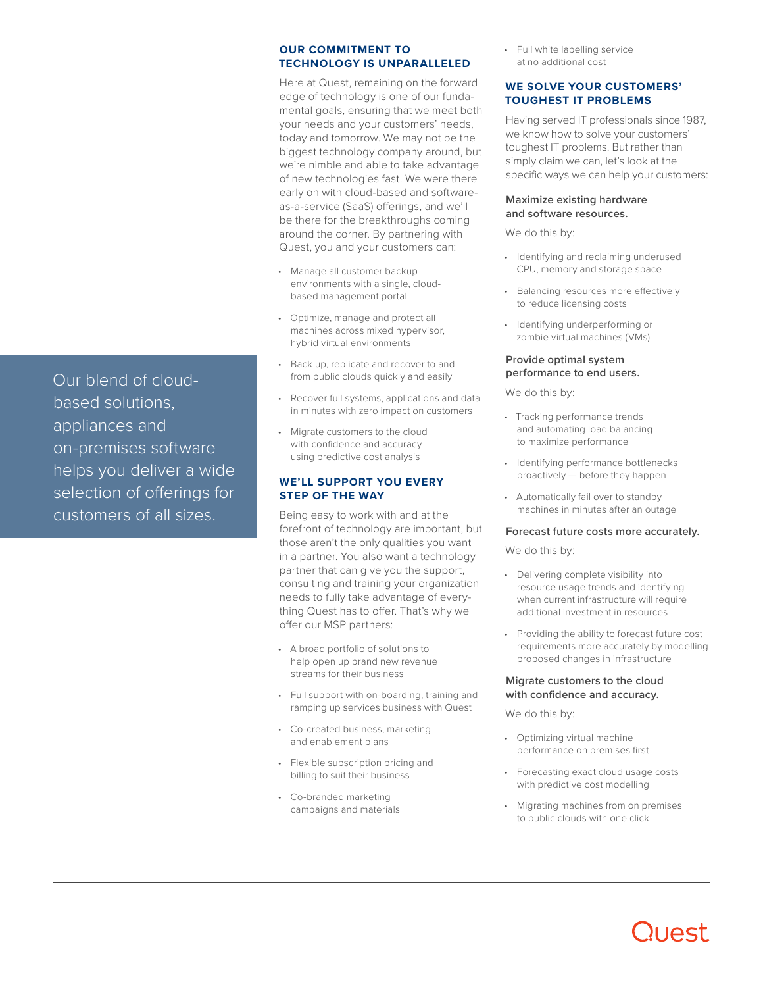Our blend of cloudbased solutions, appliances and on-premises software helps you deliver a wide selection of offerings for customers of all sizes.

#### **OUR COMMITMENT TO TECHNOLOGY IS UNPARALLELED**

Here at Quest, remaining on the forward edge of technology is one of our fundamental goals, ensuring that we meet both your needs and your customers' needs, today and tomorrow. We may not be the biggest technology company around, but we're nimble and able to take advantage of new technologies fast. We were there early on with cloud-based and softwareas-a-service (SaaS) offerings, and we'll be there for the breakthroughs coming around the corner. By partnering with Quest, you and your customers can:

- Manage all customer backup environments with a single, cloudbased management portal
- Optimize, manage and protect all machines across mixed hypervisor, hybrid virtual environments
- Back up, replicate and recover to and from public clouds quickly and easily
- Recover full systems, applications and data in minutes with zero impact on customers
- Migrate customers to the cloud with confidence and accuracy using predictive cost analysis

# **WE'LL SUPPORT YOU EVERY STEP OF THE WAY**

Being easy to work with and at the forefront of technology are important, but those aren't the only qualities you want in a partner. You also want a technology partner that can give you the support, consulting and training your organization needs to fully take advantage of everything Quest has to offer. That's why we offer our MSP partners:

- A broad portfolio of solutions to help open up brand new revenue streams for their business
- Full support with on-boarding, training and ramping up services business with Quest
- Co-created business, marketing and enablement plans
- Flexible subscription pricing and billing to suit their business
- Co-branded marketing campaigns and materials

• Full white labelling service at no additional cost

# **WE SOLVE YOUR CUSTOMERS' TOUGHEST IT PROBLEMS**

Having served IT professionals since 1987, we know how to solve your customers' toughest IT problems. But rather than simply claim we can, let's look at the specific ways we can help your customers:

#### **Maximize existing hardware and software resources.**

We do this by:

- Identifying and reclaiming underused CPU, memory and storage space
- Balancing resources more effectively to reduce licensing costs
- Identifying underperforming or zombie virtual machines (VMs)

#### **Provide optimal system performance to end users.**

We do this by:

- Tracking performance trends and automating load balancing to maximize performance
- Identifying performance bottlenecks proactively — before they happen
- Automatically fail over to standby machines in minutes after an outage

# **Forecast future costs more accurately.**

We do this by:

- Delivering complete visibility into resource usage trends and identifying when current infrastructure will require additional investment in resources
- Providing the ability to forecast future cost requirements more accurately by modelling proposed changes in infrastructure

#### **Migrate customers to the cloud with confidence and accuracy.**

We do this by:

- Optimizing virtual machine performance on premises first
- Forecasting exact cloud usage costs with predictive cost modelling
- Migrating machines from on premises to public clouds with one click